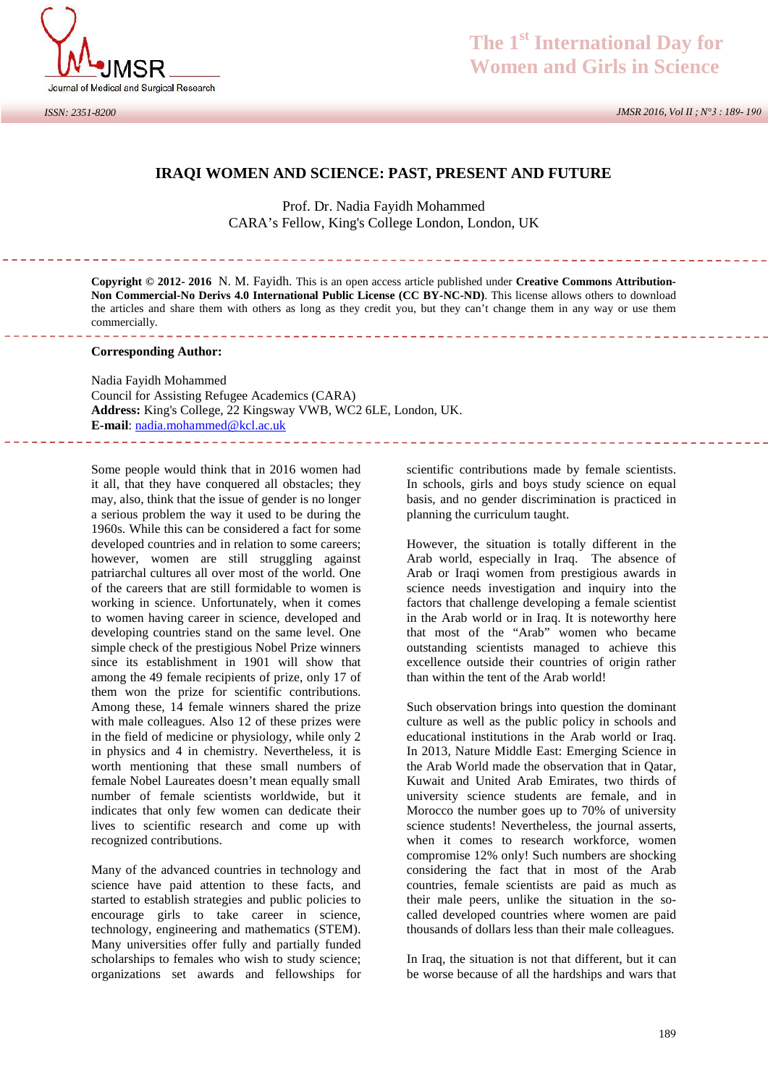

 *JMSR 2016, Vol II ; N°3 : 189- 190*

# **IRAQI WOMEN AND SCIENCE: PAST, PRESENT AND FUTURE**

Prof. Dr. Nadia Fayidh Mohammed CARA's Fellow, King's College London, London, UK

**Copyright © 2012- 2016** N.M. Fayidh. This is an open access article published under **Creative Commons Attribution- Non Commercial-No Derivs 4.0 International Public License (CC BY-NC-ND)**. This license allows others to download the articles and share them with others as long as they credit you, but they can't change them in any way or use them commercially. 

### **Corresponding Author:**

Nadia Fayidh Mohammed Council for Assisting Refugee Academics (CARA) **Address:** King's College, 22 Kingsway VWB, WC2 6LE, London, UK. **E-mail**: nadia.mohammed@kcl.ac.uk

Some people would think that in 2016 women had it all, that they have conquered all obstacles; they may, also, think that the issue of gender is no longer a serious problem the way it used to be during the 1960s. While this can be considered a fact for some developed countries and in relation to some careers; however, women are still struggling against patriarchal cultures all over most of the world. One of the careers that are still formidable to women is working in science. Unfortunately, when it comes to women having career in science, developed and developing countries stand on the same level. One simple check of the prestigious Nobel Prize winners since its establishment in 1901 will show that among the 49 female recipients of prize, only 17 of them won the prize for scientific contributions. Among these, 14 female winners shared the prize with male colleagues. Also 12 of these prizes were in the field of medicine or physiology, while only 2 in physics and 4 in chemistry. Nevertheless, it is worth mentioning that these small numbers of female Nobel Laureates doesn't mean equally small number of female scientists worldwide, but it indicates that only few women can dedicate their lives to scientific research and come up with recognized contributions.

Many of the advanced countries in technology and science have paid attention to these facts, and started to establish strategies and public policies to encourage girls to take career in science, technology, engineering and mathematics (STEM). Many universities offer fully and partially funded scholarships to females who wish to study science; organizations set awards and fellowships for

scientific contributions made by female scientists. In schools, girls and boys study science on equal basis, and no gender discrimination is practiced in planning the curriculum taught.

However, the situation is totally different in the Arab world, especially in Iraq. The absence of Arab or Iraqi women from prestigious awards in science needs investigation and inquiry into the factors that challenge developing a female scientist in the Arab world or in Iraq. It is noteworthy here that most of the "Arab" women who became outstanding scientists managed to achieve this excellence outside their countries of origin rather than within the tent of the Arab world!

Such observation brings into question the dominant culture as well as the public policy in schools and educational institutions in the Arab world or Iraq. In 2013, Nature Middle East: Emerging Science in the Arab World made the observation that in Qatar, Kuwait and United Arab Emirates, two thirds of university science students are female, and in Morocco the number goes up to 70% of university science students! Nevertheless, the journal asserts, when it comes to research workforce, women compromise 12% only! Such numbers are shocking considering the fact that in most of the Arab countries, female scientists are paid as much as their male peers, unlike the situation in the so called developed countries where women are paid thousands of dollars less than their male colleagues.

In Iraq, the situation is not that different, but it can be worse because of all the hardships and wars that